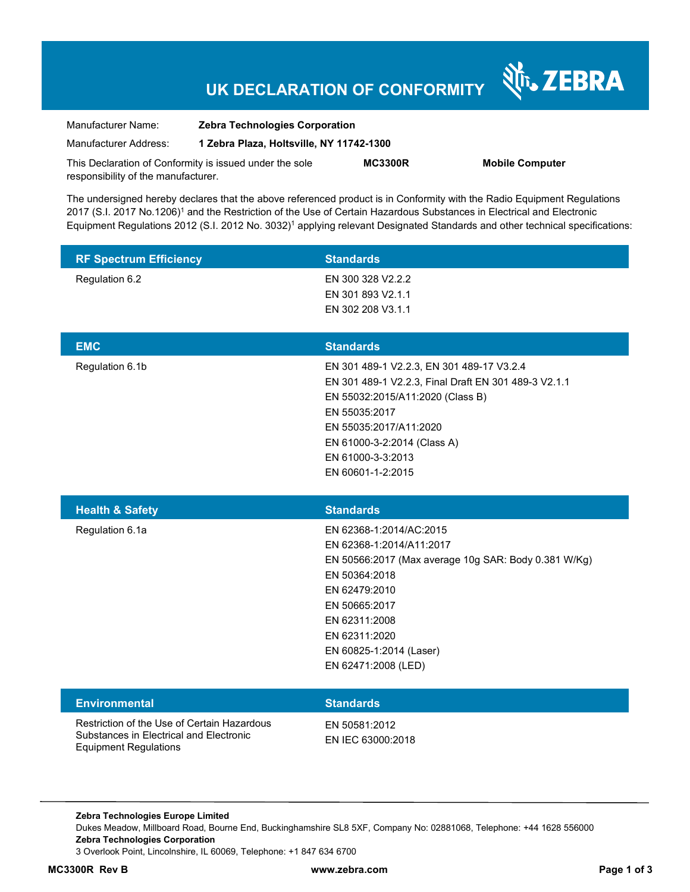# **UK DECLARATION OF CONFORMITY**

Nr. ZEBRA

| Manufacturer Name:                                      | <b>Zebra Technologies Corporation</b>    |                |                        |
|---------------------------------------------------------|------------------------------------------|----------------|------------------------|
| Manufacturer Address:                                   | 1 Zebra Plaza, Holtsville, NY 11742-1300 |                |                        |
| This Declaration of Conformity is issued under the sole |                                          | <b>MC3300R</b> | <b>Mobile Computer</b> |
| responsibility of the manufacturer.                     |                                          |                |                        |

The undersigned hereby declares that the above referenced product is in Conformity with the Radio Equipment Regulations 2017 (S.I. 2017 No.1206)<sup>1</sup> and the Restriction of the Use of Certain Hazardous Substances in Electrical and Electronic Equipment Regulations 2012 (S.I. 2012 No. 3032)<sup>1</sup> applying relevant Designated Standards and other technical specifications:

| <b>RF Spectrum Efficiency</b> | <b>Standards</b>                                                                                                                                                                                                                                          |
|-------------------------------|-----------------------------------------------------------------------------------------------------------------------------------------------------------------------------------------------------------------------------------------------------------|
| Regulation 6.2                | EN 300 328 V2.2.2<br>EN 301 893 V2.1.1<br>EN 302 208 V3.1.1                                                                                                                                                                                               |
| <b>EMC</b>                    | <b>Standards</b>                                                                                                                                                                                                                                          |
| Regulation 6.1b               | EN 301 489-1 V2.2.3, EN 301 489-17 V3.2.4<br>EN 301 489-1 V2.2.3, Final Draft EN 301 489-3 V2.1.1<br>EN 55032:2015/A11:2020 (Class B)<br>EN 55035:2017<br>EN 55035:2017/A11:2020<br>EN 61000-3-2:2014 (Class A)<br>EN 61000-3-3:2013<br>EN 60601-1-2:2015 |
| <b>Health &amp; Safety</b>    | <b>Standards</b>                                                                                                                                                                                                                                          |
| Regulation 6.1a               | EN 62368-1:2014/AC:2015<br>EN 62368-1:2014/A11:2017<br>EN 50566:2017 (Max average 10g SAR: Body 0.381 W/Kg)<br>EN 50364:2018<br>EN 62479:2010<br>EN 50665:2017<br>EN 62311:2008<br>EN 62311:2020<br>EN 60825-1:2014 (Laser)                               |
|                               | EN 62471:2008 (LED)                                                                                                                                                                                                                                       |
| <b>Environmental</b>          | <b>Standards</b>                                                                                                                                                                                                                                          |

**Zebra Technologies Europe Limited**  Dukes Meadow, Millboard Road, Bourne End, Buckinghamshire SL8 5XF, Company No: 02881068, Telephone: +44 1628 556000 **Zebra Technologies Corporation**  3 Overlook Point, Lincolnshire, IL 60069, Telephone: +1 847 634 6700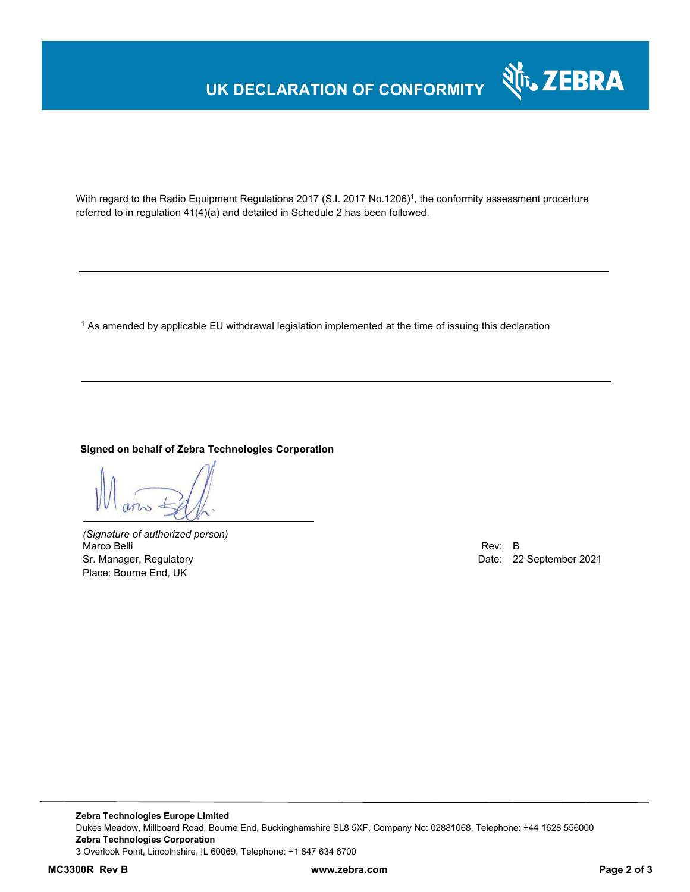# **UK DECLARATION OF CONFORMITY**



With regard to the Radio Equipment Regulations 2017 (S.I. 2017 No.1206)<sup>1</sup>, the conformity assessment procedure referred to in regulation 41(4)(a) and detailed in Schedule 2 has been followed.

 $^{\rm 1}$  As amended by applicable EU withdrawal legislation implemented at the time of issuing this declaration

#### **Signed on behalf of Zebra Technologies Corporation**

*(Signature of authorized person)* Marco Belli Rev: B Sr. Manager, Regulatory Date: 22 September 2021 Place: Bourne End, UK